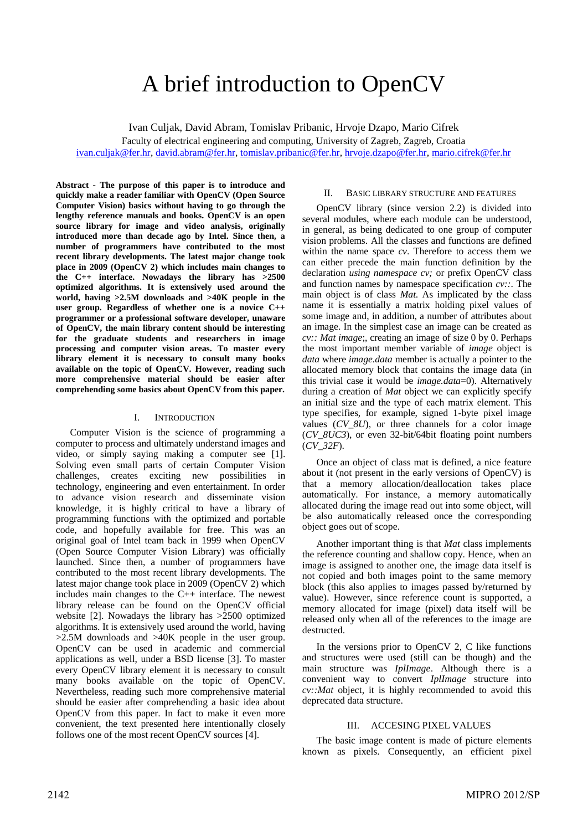# A brief introduction to OpenCV

Ivan Culjak, David Abram, Tomislav Pribanic, Hrvoje Dzapo, Mario Cifrek

Faculty of electrical engineering and computing, University of Zagreb, Zagreb, Croatia [ivan.culjak@fer.hr,](mailto:ivan.culjak@fer.hr) [david.abram@fer.hr,](mailto:david.abram@fer.hr) [tomislav.pribanic@fer.hr,](mailto:tomislav.pribanic@fer.hr) [hrvoje.dzapo@fer.hr,](mailto:hrvoje.dzapo@fer.hr) [mario.cifrek@fer.hr](mailto:mario.cifrek@fer.hr)

**Abstract - The purpose of this paper is to introduce and quickly make a reader familiar with OpenCV (Open Source Computer Vision) basics without having to go through the lengthy reference manuals and books. OpenCV is an open source library for image and video analysis, originally introduced more than decade ago by Intel. Since then, a number of programmers have contributed to the most recent library developments. The latest major change took place in 2009 (OpenCV 2) which includes main changes to the C++ interface. Nowadays the library has >2500 optimized algorithms. It is extensively used around the world, having >2.5M downloads and >40K people in the user group. Regardless of whether one is a novice C++ programmer or a professional software developer, unaware of OpenCV, the main library content should be interesting for the graduate students and researchers in image processing and computer vision areas. To master every library element it is necessary to consult many books available on the topic of OpenCV. However, reading such more comprehensive material should be easier after comprehending some basics about OpenCV from this paper.** 

#### I. INTRODUCTION

Computer Vision is the science of programming a computer to process and ultimately understand images and video, or simply saying making a computer see [\[1\].](#page-5-0) Solving even small parts of certain Computer Vision challenges, creates exciting new possibilities in technology, engineering and even entertainment. In order to advance vision research and disseminate vision knowledge, it is highly critical to have a library of programming functions with the optimized and portable code, and hopefully available for free. This was an original goal of Intel team back in 1999 when OpenCV (Open Source Computer Vision Library) was officially launched. Since then, a number of programmers have contributed to the most recent library developments. The latest major change took place in 2009 (OpenCV 2) which includes main changes to the C++ interface. The newest library release can be found on the OpenCV official website [\[2\].](#page-5-1) Nowadays the library has >2500 optimized algorithms. It is extensively used around the world, having >2.5M downloads and >40K people in the user group. OpenCV can be used in academic and commercial applications as well, under a BSD license [\[3\].](#page-5-2) To master every OpenCV library element it is necessary to consult many books available on the topic of OpenCV. Nevertheless, reading such more comprehensive material should be easier after comprehending a basic idea about OpenCV from this paper. In fact to make it even more convenient, the text presented here intentionally closely follows one of the most recent OpenCV sources [\[4\].](#page-5-3)

### II. BASIC LIBRARY STRUCTURE AND FEATURES

OpenCV library (since version 2.2) is divided into several modules, where each module can be understood, in general, as being dedicated to one group of computer vision problems. All the classes and functions are defined within the name space *cv*. Therefore to access them we can either precede the main function definition by the declaration *using namespace cv;* or prefix OpenCV class and function names by namespace specification *cv::*. The main object is of class *Mat*. As implicated by the class name it is essentially a matrix holding pixel values of some image and, in addition, a number of attributes about an image. In the simplest case an image can be created as *cv:: Mat image*;, creating an image of size 0 by 0. Perhaps the most important member variable of *image* object is *data* where *image.data* member is actually a pointer to the allocated memory block that contains the image data (in this trivial case it would be *image.data*=0). Alternatively during a creation of *Mat* object we can explicitly specify an initial size and the type of each matrix element. This type specifies, for example, signed 1-byte pixel image values (*CV\_8U*), or three channels for a color image (*CV\_8UC3*), or even 32-bit/64bit floating point numbers (*CV\_32F*).

Once an object of class mat is defined, a nice feature about it (not present in the early versions of OpenCV) is that a memory allocation/deallocation takes place automatically. For instance, a memory automatically allocated during the image read out into some object, will be also automatically released once the corresponding object goes out of scope.

Another important thing is that *Mat* class implements the reference counting and shallow copy. Hence, when an image is assigned to another one, the image data itself is not copied and both images point to the same memory block (this also applies to images passed by/returned by value). However, since reference count is supported, a memory allocated for image (pixel) data itself will be released only when all of the references to the image are destructed.

In the versions prior to OpenCV 2, C like functions and structures were used (still can be though) and the main structure was *IplImage*. Although there is a convenient way to convert *IplImage* structure into *cv::Mat* object, it is highly recommended to avoid this deprecated data structure.

# III. ACCESING PIXEL VALUES

The basic image content is made of picture elements known as pixels. Consequently, an efficient pixel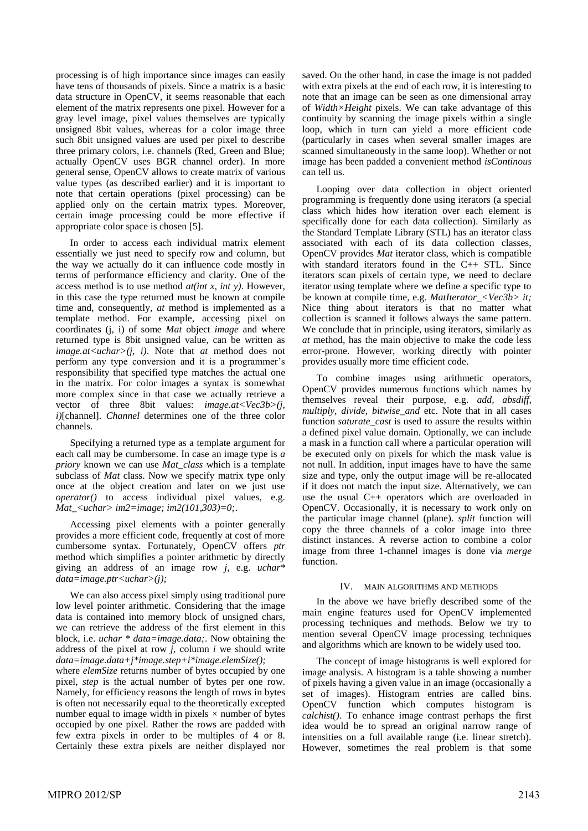processing is of high importance since images can easily have tens of thousands of pixels. Since a matrix is a basic data structure in OpenCV, it seems reasonable that each element of the matrix represents one pixel. However for a gray level image, pixel values themselves are typically unsigned 8bit values, whereas for a color image three such 8bit unsigned values are used per pixel to describe three primary colors, i.e. channels (Red, Green and Blue; actually OpenCV uses BGR channel order). In more general sense, OpenCV allows to create matrix of various value types (as described earlier) and it is important to note that certain operations (pixel processing) can be applied only on the certain matrix types. Moreover, certain image processing could be more effective if appropriate color space is chosen [\[5\].](#page-5-4)

In order to access each individual matrix element essentially we just need to specify row and column, but the way we actually do it can influence code mostly in terms of performance efficiency and clarity. One of the access method is to use method *at(int x, int y)*. However, in this case the type returned must be known at compile time and, consequently, *at* method is implemented as a template method. For example, accessing pixel on coordinates (j, i) of some *Mat* object *image* and where returned type is 8bit unsigned value, can be written as *image.at<uchar>(j, i)*. Note that *at* method does not perform any type conversion and it is a programmer's responsibility that specified type matches the actual one in the matrix. For color images a syntax is somewhat more complex since in that case we actually retrieve a vector of three 8bit values: *image.at<Vec3b>(j, i)*[channel]. *Channel* determines one of the three color channels.

Specifying a returned type as a template argument for each call may be cumbersome. In case an image type is *a priory* known we can use *Mat\_class* which is a template subclass of *Mat* class. Now we specify matrix type only once at the object creation and later on we just use *operator()* to access individual pixel values, e.g. *Mat\_<uchar> im2=image; im2(101,303)=0;*.

Accessing pixel elements with a pointer generally provides a more efficient code, frequently at cost of more cumbersome syntax. Fortunately, OpenCV offers *ptr* method which simplifies a pointer arithmetic by directly giving an address of an image row *j*, e.g. *uchar\* data=image.ptr<uchar>(j);*

We can also access pixel simply using traditional pure low level pointer arithmetic. Considering that the image data is contained into memory block of unsigned chars, we can retrieve the address of the first element in this block, i.e. *uchar \* data=image.data;*. Now obtaining the address of the pixel at row *j*, column *i* we should write *data=image.data+j\*image.step+i\*image.elemSize();*

where *elemSize* returns number of bytes occupied by one pixel, *step* is the actual number of bytes per one row. Namely, for efficiency reasons the length of rows in bytes is often not necessarily equal to the theoretically excepted number equal to image width in pixels  $\times$  number of bytes occupied by one pixel. Rather the rows are padded with few extra pixels in order to be multiples of 4 or 8. Certainly these extra pixels are neither displayed nor

saved. On the other hand, in case the image is not padded with extra pixels at the end of each row, it is interesting to note that an image can be seen as one dimensional array of *Width×Height* pixels. We can take advantage of this continuity by scanning the image pixels within a single loop, which in turn can yield a more efficient code (particularly in cases when several smaller images are scanned simultaneously in the same loop). Whether or not image has been padded a convenient method *isContinous* can tell us.

Looping over data collection in object oriented programming is frequently done using iterators (a special class which hides how iteration over each element is specifically done for each data collection). Similarly as the Standard Template Library (STL) has an iterator class associated with each of its data collection classes, OpenCV provides *Mat* iterator class, which is compatible with standard iterators found in the C++ STL. Since iterators scan pixels of certain type, we need to declare iterator using template where we define a specific type to be known at compile time, e.g. *MatIterator\_<Vec3b> it;*  Nice thing about iterators is that no matter what collection is scanned it follows always the same pattern. We conclude that in principle, using iterators, similarly as *at* method, has the main objective to make the code less error-prone. However, working directly with pointer provides usually more time efficient code.

To combine images using arithmetic operators, OpenCV provides numerous functions which names by themselves reveal their purpose, e.g. *add, absdiff, multiply, divide, bitwise\_and* etc. Note that in all cases function *saturate\_cast* is used to assure the results within a defined pixel value domain. Optionally, we can include a mask in a function call where a particular operation will be executed only on pixels for which the mask value is not null. In addition, input images have to have the same size and type, only the output image will be re-allocated if it does not match the input size. Alternatively, we can use the usual C++ operators which are overloaded in OpenCV. Occasionally, it is necessary to work only on the particular image channel (plane). *split* function will copy the three channels of a color image into three distinct instances. A reverse action to combine a color image from three 1-channel images is done via *merge* function.

#### IV. MAIN ALGORITHMS AND METHODS

In the above we have briefly described some of the main engine features used for OpenCV implemented processing techniques and methods. Below we try to mention several OpenCV image processing techniques and algorithms which are known to be widely used too.

The concept of image histograms is well explored for image analysis. A histogram is a table showing a number of pixels having a given value in an image (occasionally a set of images). Histogram entries are called bins. OpenCV function which computes histogram is *calchist()*. To enhance image contrast perhaps the first idea would be to spread an original narrow range of intensities on a full available range (i.e. linear stretch). However, sometimes the real problem is that some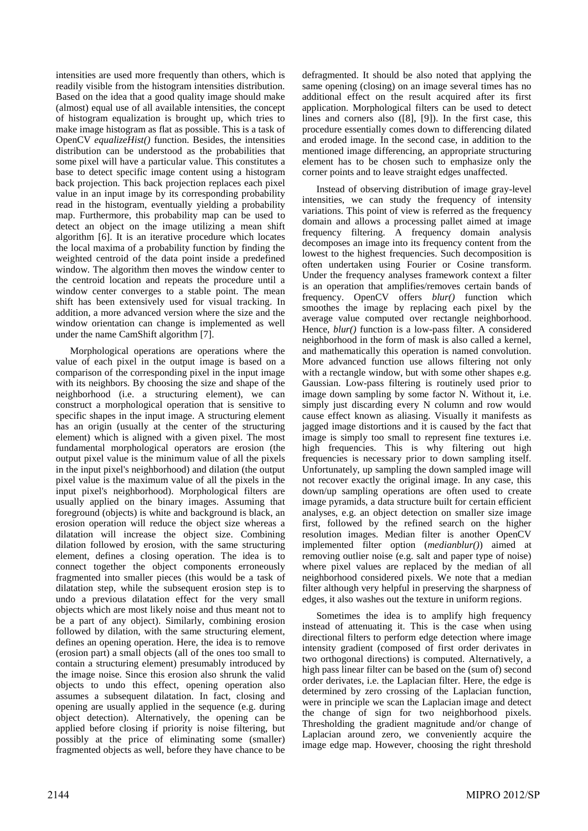intensities are used more frequently than others, which is readily visible from the histogram intensities distribution. Based on the idea that a good quality image should make (almost) equal use of all available intensities, the concept of histogram equalization is brought up, which tries to make image histogram as flat as possible. This is a task of OpenCV *equalizeHist()* function. Besides, the intensities distribution can be understood as the probabilities that some pixel will have a particular value. This constitutes a base to detect specific image content using a histogram back projection. This back projection replaces each pixel value in an input image by its corresponding probability read in the histogram, eventually yielding a probability map. Furthermore, this probability map can be used to detect an object on the image utilizing a mean shift algorithm [\[6\].](#page-5-5) It is an iterative procedure which locates the local maxima of a probability function by finding the weighted centroid of the data point inside a predefined window. The algorithm then moves the window center to the centroid location and repeats the procedure until a window center converges to a stable point. The mean shift has been extensively used for visual tracking. In addition, a more advanced version where the size and the window orientation can change is implemented as well under the name CamShift algorithm [\[7\].](#page-5-6)

Morphological operations are operations where the value of each pixel in the output image is based on a comparison of the corresponding pixel in the input image with its neighbors. By choosing the size and shape of the neighborhood (i.e. a structuring element), we can construct a morphological operation that is sensitive to specific shapes in the input image. A structuring element has an origin (usually at the center of the structuring element) which is aligned with a given pixel. The most fundamental morphological operators are erosion (the output pixel value is the minimum value of all the pixels in the input pixel's neighborhood) and dilation (the output pixel value is the maximum value of all the pixels in the input pixel's neighborhood). Morphological filters are usually applied on the binary images. Assuming that foreground (objects) is white and background is black, an erosion operation will reduce the object size whereas a dilatation will increase the object size. Combining dilation followed by erosion, with the same structuring element, defines a closing operation. The idea is to connect together the object components erroneously fragmented into smaller pieces (this would be a task of dilatation step, while the subsequent erosion step is to undo a previous dilatation effect for the very small objects which are most likely noise and thus meant not to be a part of any object). Similarly, combining erosion followed by dilation, with the same structuring element, defines an opening operation. Here, the idea is to remove (erosion part) a small objects (all of the ones too small to contain a structuring element) presumably introduced by the image noise. Since this erosion also shrunk the valid objects to undo this effect, opening operation also assumes a subsequent dilatation. In fact, closing and opening are usually applied in the sequence (e.g. during object detection). Alternatively, the opening can be applied before closing if priority is noise filtering, but possibly at the price of eliminating some (smaller) fragmented objects as well, before they have chance to be

defragmented. It should be also noted that applying the same opening (closing) on an image several times has no additional effect on the result acquired after its first application. Morphological filters can be used to detect lines and corners also [\(\[8\],](#page-5-7) [\[9\]\)](#page-5-8). In the first case, this procedure essentially comes down to differencing dilated and eroded image. In the second case, in addition to the mentioned image differencing, an appropriate structuring element has to be chosen such to emphasize only the corner points and to leave straight edges unaffected.

Instead of observing distribution of image gray-level intensities, we can study the frequency of intensity variations. This point of view is referred as the frequency domain and allows a processing pallet aimed at image frequency filtering. A frequency domain analysis decomposes an image into its frequency content from the lowest to the highest frequencies. Such decomposition is often undertaken using Fourier or Cosine transform. Under the frequency analyses framework context a filter is an operation that amplifies/removes certain bands of frequency. OpenCV offers *blur()* function which smoothes the image by replacing each pixel by the average value computed over rectangle neighborhood. Hence, *blur()* function is a low-pass filter. A considered neighborhood in the form of mask is also called a kernel, and mathematically this operation is named convolution. More advanced function use allows filtering not only with a rectangle window, but with some other shapes e.g. Gaussian. Low-pass filtering is routinely used prior to image down sampling by some factor N. Without it, i.e. simply just discarding every N column and row would cause effect known as aliasing. Visually it manifests as jagged image distortions and it is caused by the fact that image is simply too small to represent fine textures i.e. high frequencies. This is why filtering out high frequencies is necessary prior to down sampling itself. Unfortunately, up sampling the down sampled image will not recover exactly the original image. In any case, this down/up sampling operations are often used to create image pyramids, a data structure built for certain efficient analyses, e.g. an object detection on smaller size image first, followed by the refined search on the higher resolution images. Median filter is another OpenCV implemented filter option (*medianblur()*) aimed at removing outlier noise (e.g. salt and paper type of noise) where pixel values are replaced by the median of all neighborhood considered pixels. We note that a median filter although very helpful in preserving the sharpness of edges, it also washes out the texture in uniform regions.

Sometimes the idea is to amplify high frequency instead of attenuating it. This is the case when using directional filters to perform edge detection where image intensity gradient (composed of first order derivates in two orthogonal directions) is computed. Alternatively, a high pass linear filter can be based on the (sum of) second order derivates, i.e. the Laplacian filter. Here, the edge is determined by zero crossing of the Laplacian function, were in principle we scan the Laplacian image and detect the change of sign for two neighborhood pixels. Thresholding the gradient magnitude and/or change of Laplacian around zero, we conveniently acquire the image edge map. However, choosing the right threshold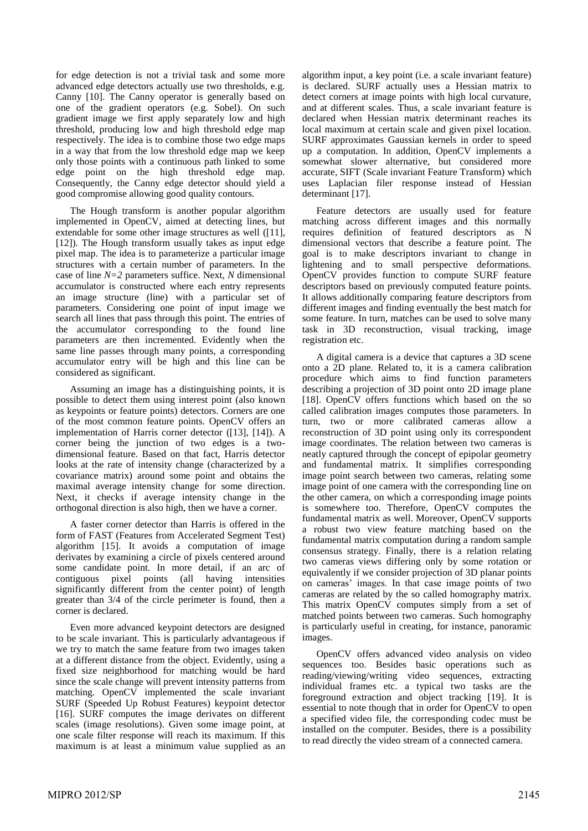for edge detection is not a trivial task and some more advanced edge detectors actually use two thresholds, e.g. Canny [\[10\].](#page-5-9) The Canny operator is generally based on one of the gradient operators (e.g. Sobel). On such gradient image we first apply separately low and high threshold, producing low and high threshold edge map respectively. The idea is to combine those two edge maps in a way that from the low threshold edge map we keep only those points with a continuous path linked to some edge point on the high threshold edge map. Consequently, the Canny edge detector should yield a good compromise allowing good quality contours.

The Hough transform is another popular algorithm implemented in OpenCV, aimed at detecting lines, but extendable for some other image structures as well [\(\[11\],](#page-5-10) [\[12\]\)](#page-5-11). The Hough transform usually takes as input edge pixel map. The idea is to parameterize a particular image structures with a certain number of parameters. In the case of line *N=2* parameters suffice. Next, *N* dimensional accumulator is constructed where each entry represents an image structure (line) with a particular set of parameters. Considering one point of input image we search all lines that pass through this point. The entries of the accumulator corresponding to the found line parameters are then incremented. Evidently when the same line passes through many points, a corresponding accumulator entry will be high and this line can be considered as significant.

Assuming an image has a distinguishing points, it is possible to detect them using interest point (also known as keypoints or feature points) detectors. Corners are one of the most common feature points. OpenCV offers an implementation of Harris corner detector [\(\[13\],](#page-5-12) [\[14\]\)](#page-5-13). A corner being the junction of two edges is a twodimensional feature. Based on that fact, Harris detector looks at the rate of intensity change (characterized by a covariance matrix) around some point and obtains the maximal average intensity change for some direction. Next, it checks if average intensity change in the orthogonal direction is also high, then we have a corner.

A faster corner detector than Harris is offered in the form of FAST (Features from Accelerated Segment Test) algorithm [\[15\].](#page-5-14) It avoids a computation of image derivates by examining a circle of pixels centered around some candidate point. In more detail, if an arc of contiguous pixel points (all having intensities significantly different from the center point) of length greater than 3/4 of the circle perimeter is found, then a corner is declared.

Even more advanced keypoint detectors are designed to be scale invariant. This is particularly advantageous if we try to match the same feature from two images taken at a different distance from the object. Evidently, using a fixed size neighborhood for matching would be hard since the scale change will prevent intensity patterns from matching. OpenCV implemented the scale invariant SURF (Speeded Up Robust Features) keypoint detector [\[16\].](#page-5-15) SURF computes the image derivates on different scales (image resolutions). Given some image point, at one scale filter response will reach its maximum. If this maximum is at least a minimum value supplied as an

algorithm input, a key point (i.e. a scale invariant feature) is declared. SURF actually uses a Hessian matrix to detect corners at image points with high local curvature, and at different scales. Thus, a scale invariant feature is declared when Hessian matrix determinant reaches its local maximum at certain scale and given pixel location. SURF approximates Gaussian kernels in order to speed up a computation. In addition, OpenCV implements a somewhat slower alternative, but considered more accurate, SIFT (Scale invariant Feature Transform) which uses Laplacian filer response instead of Hessian determinant [\[17\].](#page-5-16)

Feature detectors are usually used for feature matching across different images and this normally requires definition of featured descriptors as N dimensional vectors that describe a feature point. The goal is to make descriptors invariant to change in lightening and to small perspective deformations. OpenCV provides function to compute SURF feature descriptors based on previously computed feature points. It allows additionally comparing feature descriptors from different images and finding eventually the best match for some feature. In turn, matches can be used to solve many task in 3D reconstruction, visual tracking, image registration etc.

A digital camera is a device that captures a 3D scene onto a 2D plane. Related to, it is a camera calibration procedure which aims to find function parameters describing a projection of 3D point onto 2D image plane [\[18\].](#page-5-17) OpenCV offers functions which based on the so called calibration images computes those parameters. In turn, two or more calibrated cameras allow a reconstruction of 3D point using only its correspondent image coordinates. The relation between two cameras is neatly captured through the concept of epipolar geometry and fundamental matrix. It simplifies corresponding image point search between two cameras, relating some image point of one camera with the corresponding line on the other camera, on which a corresponding image points is somewhere too. Therefore, OpenCV computes the fundamental matrix as well. Moreover, OpenCV supports a robust two view feature matching based on the fundamental matrix computation during a random sample consensus strategy. Finally, there is a relation relating two cameras views differing only by some rotation or equivalently if we consider projection of 3D planar points on cameras' images. In that case image points of two cameras are related by the so called homography matrix. This matrix OpenCV computes simply from a set of matched points between two cameras. Such homography is particularly useful in creating, for instance, panoramic images.

OpenCV offers advanced video analysis on video sequences too. Besides basic operations such as reading/viewing/writing video sequences, extracting individual frames etc. a typical two tasks are the foreground extraction and object tracking [\[19\].](#page-5-18) It is essential to note though that in order for OpenCV to open a specified video file, the corresponding codec must be installed on the computer. Besides, there is a possibility to read directly the video stream of a connected camera.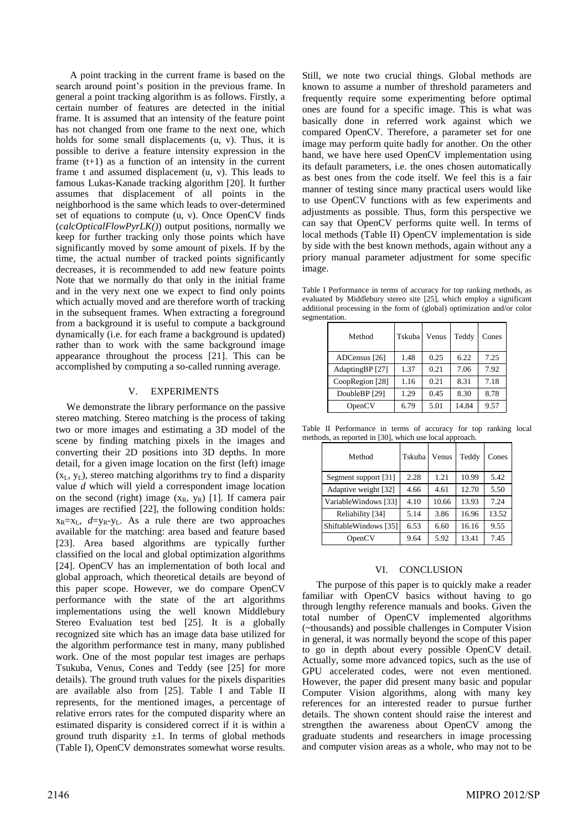A point tracking in the current frame is based on the search around point's position in the previous frame. In general a point tracking algorithm is as follows. Firstly, a certain number of features are detected in the initial frame. It is assumed that an intensity of the feature point has not changed from one frame to the next one, which holds for some small displacements (u, v). Thus, it is possible to derive a feature intensity expression in the frame  $(t+1)$  as a function of an intensity in the current frame t and assumed displacement (u, v). This leads to famous Lukas-Kanade tracking algorithm [\[20\].](#page-5-19) It further assumes that displacement of all points in the neighborhood is the same which leads to over-determined set of equations to compute (u, v). Once OpenCV finds (*calcOpticalFlowPyrLK()*) output positions, normally we keep for further tracking only those points which have significantly moved by some amount of pixels. If by the time, the actual number of tracked points significantly decreases, it is recommended to add new feature points Note that we normally do that only in the initial frame and in the very next one we expect to find only points which actually moved and are therefore worth of tracking in the subsequent frames. When extracting a foreground from a background it is useful to compute a background dynamically (i.e. for each frame a background is updated) rather than to work with the same background image appearance throughout the process [\[21\].](#page-5-20) This can be accomplished by computing a so-called running average.

# V. EXPERIMENTS

We demonstrate the library performance on the passive stereo matching. Stereo matching is the process of taking two or more images and estimating a 3D model of the scene by finding matching pixels in the images and converting their 2D positions into 3D depths. In more detail, for a given image location on the first (left) image  $(x_L, y_L)$ , stereo matching algorithms try to find a disparity value *d* which will yield a correspondent image location on the second (right) image  $(x_R, y_R)$  [\[1\].](#page-5-0) If camera pair images are rectified [\[22\],](#page-5-21) the following condition holds:  $x_R=x_L$ ,  $d=y_R-y_L$ . As a rule there are two approaches available for the matching: area based and feature based [\[23\].](#page-5-22) Area based algorithms are typically further classified on the local and global optimization algorithms [\[24\].](#page-5-23) OpenCV has an implementation of both local and global approach, which theoretical details are beyond of this paper scope. However, we do compare OpenCV performance with the state of the art algorithms implementations using the well known Middlebury Stereo Evaluation test bed [\[25\].](#page-5-24) It is a globally recognized site which has an image data base utilized for the algorithm performance test in many, many published work. One of the most popular test images are perhaps Tsukuba, Venus, Cones and Teddy (see [\[25\]](#page-5-24) for more details). The ground truth values for the pixels disparities are available also from [\[25\].](#page-5-24) [Table I](#page-4-0) and [Table II](#page-4-1) represents, for the mentioned images, a percentage of relative errors rates for the computed disparity where an estimated disparity is considered correct if it is within a ground truth disparity  $\pm 1$ . In terms of global methods [\(Table I\)](#page-4-0), OpenCV demonstrates somewhat worse results.

Still, we note two crucial things. Global methods are known to assume a number of threshold parameters and frequently require some experimenting before optimal ones are found for a specific image. This is what was basically done in referred work against which we compared OpenCV. Therefore, a parameter set for one image may perform quite badly for another. On the other hand, we have here used OpenCV implementation using its default parameters, i.e. the ones chosen automatically as best ones from the code itself. We feel this is a fair manner of testing since many practical users would like to use OpenCV functions with as few experiments and adjustments as possible. Thus, form this perspective we can say that OpenCV performs quite well. In terms of local methods [\(Table II\)](#page-4-1) OpenCV implementation is side by side with the best known methods, again without any a priory manual parameter adjustment for some specific image.

<span id="page-4-0"></span>Table I Performance in terms of accuracy for top ranking methods, as evaluated by Middlebury stereo site [\[25\],](#page-5-24) which employ a significant additional processing in the form of (global) optimization and/or color segmentation.

| Method          | Tskubal | Venus | Teddy | Cones |
|-----------------|---------|-------|-------|-------|
| ADCensus [26]   | 1.48    | 0.25  | 6.22  | 7.25  |
| AdaptingBP [27] | 1.37    | 0.21  | 7.06  | 7.92  |
| CoopRegion [28] | 1.16    | 0.21  | 8.31  | 7.18  |
| DoubleBP [29]   | 1.29    | 0.45  | 8.30  | 8.78  |
| OpenCV          | 6.79    | 5.01  | 14.84 | 9.57  |

<span id="page-4-1"></span>Table II Performance in terms of accuracy for top ranking local methods, as reported in [\[30\],](#page-5-29) which use local approach.

| Method                | Tskuba | Venus | Teddy | Cones |
|-----------------------|--------|-------|-------|-------|
| Segment support [31]  | 2.28   | 1.21  | 10.99 | 5.42  |
| Adaptive weight [32]  | 4.66   | 4.61  | 12.70 | 5.50  |
| VariableWindows [33]  | 4.10   | 10.66 | 13.93 | 7.24  |
| Reliability [34]      | 5.14   | 3.86  | 16.96 | 13.52 |
| ShiftableWindows [35] | 6.53   | 6.60  | 16.16 | 9.55  |
| OpenCV                | 9.64   | 5.92  | 13.41 | 7.45  |

# VI. CONCLUSION

The purpose of this paper is to quickly make a reader familiar with OpenCV basics without having to go through lengthy reference manuals and books. Given the total number of OpenCV implemented algorithms (~thousands) and possible challenges in Computer Vision in general, it was normally beyond the scope of this paper to go in depth about every possible OpenCV detail. Actually, some more advanced topics, such as the use of GPU accelerated codes, were not even mentioned. However, the paper did present many basic and popular Computer Vision algorithms, along with many key references for an interested reader to pursue further details. The shown content should raise the interest and strengthen the awareness about OpenCV among the graduate students and researchers in image processing and computer vision areas as a whole, who may not to be